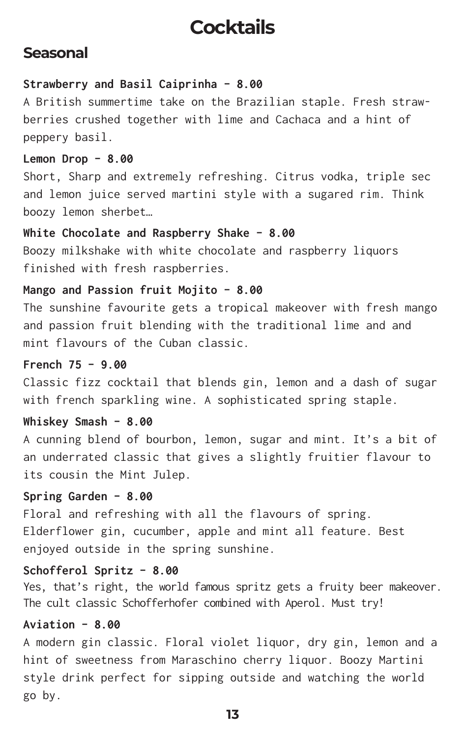# **Cocktails**

### **Seasonal**

#### **Strawberry and Basil Caiprinha - 8.00**

A British summertime take on the Brazilian staple. Fresh strawberries crushed together with lime and Cachaca and a hint of peppery basil.

#### **Lemon Drop - 8.00**

Short, Sharp and extremely refreshing. Citrus vodka, triple sec and lemon juice served martini style with a sugared rim. Think boozy lemon sherbet…

#### **White Chocolate and Raspberry Shake - 8.00**

Boozy milkshake with white chocolate and raspberry liquors finished with fresh raspberries.

#### **Mango and Passion fruit Mojito - 8.00**

The sunshine favourite gets a tropical makeover with fresh mango and passion fruit blending with the traditional lime and and mint flavours of the Cuban classic.

#### **French 75 - 9.00**

Classic fizz cocktail that blends gin, lemon and a dash of sugar with french sparkling wine. A sophisticated spring staple.

#### **Whiskey Smash - 8.00**

A cunning blend of bourbon, lemon, sugar and mint. It's a bit of an underrated classic that gives a slightly fruitier flavour to its cousin the Mint Julep.

#### **Spring Garden - 8.00**

Floral and refreshing with all the flavours of spring. Elderflower gin, cucumber, apple and mint all feature. Best enjoyed outside in the spring sunshine.

#### **Schofferol Spritz - 8.00**

Yes, that's right, the world famous spritz gets a fruity beer makeover. The cult classic Schofferhofer combined with Aperol. Must try!

#### **Aviation - 8.00**

A modern gin classic. Floral violet liquor, dry gin, lemon and a hint of sweetness from Maraschino cherry liquor. Boozy Martini style drink perfect for sipping outside and watching the world go by.